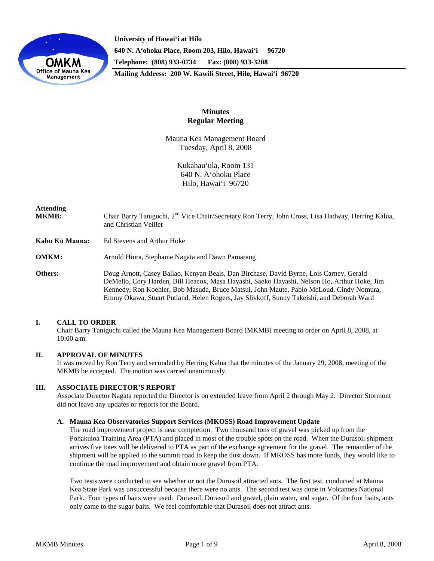

**University of Hawai'i at Hilo 640 N. A'ohoku Place, Room 203, Hilo, Hawai'i 96720 Telephone: (808) 933-0734 Fax: (808) 933-3208 Mailing Address: 200 W. Kawili Street, Hilo, Hawai'i 96720**

## **Minutes Regular Meeting**

Mauna Kea Management Board Tuesday, April 8, 2008

> Kukahau'ula, Room 131 640 N. A'ohoku Place Hilo, Hawai'i 96720

# **Attending** MKMB: Chair Barry Taniguchi, 2<sup>nd</sup> Vice Chair/Secretary Ron Terry, John Cross, Lisa Hadway, Herring Kalua, and Christian Veillet **Kahu Kū Mauna:** Ed Stevens and Arthur Hoke **OMKM:** Arnold Hiura, Stephanie Nagata and Dawn Pamarang **Others:** Doug Arnott, Casey Ballao, Kenyan Beals, Dan Birchase, David Byrne, Lois Carney, Gerald DeMello, Cory Harden, Bill Heacox, Masa Hayashi, Saeko Hayashi, Nelson Ho, Arthur Hoke, Jim Kennedy, Ron Koehler, Bob Masuda, Bruce Matsui, John Maute, Pablo McLoud, Cindy Nomura, Emmy Okawa, Stuart Putland, Helen Rogers, Jay Slivkoff, Sunny Takeishi, and Deborah Ward

## **I. CALL TO ORDER**

Chair Barry Taniguchi called the Mauna Kea Management Board (MKMB) meeting to order on April 8, 2008, at 10:00 a.m.

## **II. APPROVAL OF MINUTES**

It was moved by Ron Terry and seconded by Herring Kalua that the minutes of the January 29, 2008, meeting of the MKMB be accepted. The motion was carried unanimously.

## **III. ASSOCIATE DIRECTOR'S REPORT**

Associate Director Nagata reported the Director is on extended leave from April 2 through May 2. Director Stormont did not leave any updates or reports for the Board.

## **A. Mauna Kea Observatories Support Services (MKOSS) Road Improvement Update**

The road improvement project is near completion. Two thousand tons of gravel was picked up from the Pohakuloa Training Area (PTA) and placed in most of the trouble spots on the road. When the Durasoil shipment arrives five totes will be delivered to PTA as part of the exchange agreement for the gravel. The remainder of the shipment will be applied to the summit road to keep the dust down. If MKOSS has more funds, they would like to continue the road improvement and obtain more gravel from PTA.

Two tests were conducted to see whether or not the Durosoil attracted ants. The first test, conducted at Mauna Kea State Park was unsuccessful because there were no ants. The second test was done in Volcanoes National Park. Four types of baits were used: Durasoil, Durasoil and gravel, plain water, and sugar. Of the four baits, ants only came to the sugar baits. We feel comfortable that Durasoil does not attract ants.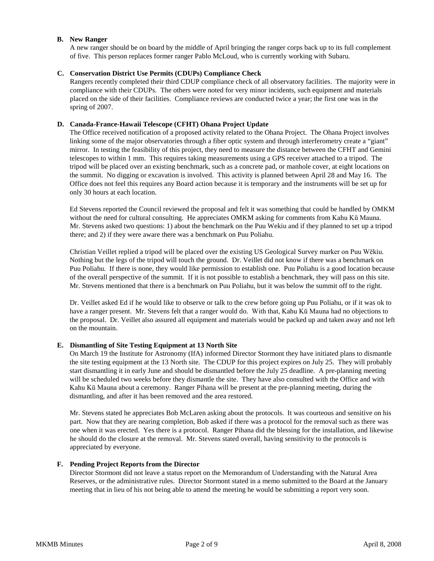## **B. New Ranger**

A new ranger should be on board by the middle of April bringing the ranger corps back up to its full complement of five. This person replaces former ranger Pablo McLoud, who is currently working with Subaru.

## **C. Conservation District Use Permits (CDUPs) Compliance Check**

Rangers recently completed their third CDUP compliance check of all observatory facilities. The majority were in compliance with their CDUPs. The others were noted for very minor incidents, such equipment and materials placed on the side of their facilities. Compliance reviews are conducted twice a year; the first one was in the spring of 2007.

## **D. Canada-France-Hawaii Telescope (CFHT) Ohana Project Update**

The Office received notification of a proposed activity related to the Ohana Project. The Ohana Project involves linking some of the major observatories through a fiber optic system and through interferometry create a "giant" mirror. In testing the feasibility of this project, they need to measure the distance between the CFHT and Gemini telescopes to within 1 mm. This requires taking measurements using a GPS receiver attached to a tripod. The tripod will be placed over an existing benchmark, such as a concrete pad, or manhole cover, at eight locations on the summit. No digging or excavation is involved. This activity is planned between April 28 and May 16. The Office does not feel this requires any Board action because it is temporary and the instruments will be set up for only 30 hours at each location.

Ed Stevens reported the Council reviewed the proposal and felt it was something that could be handled by OMKM without the need for cultural consulting. He appreciates OMKM asking for comments from Kahu Kū Mauna. Mr. Stevens asked two questions: 1) about the benchmark on the Puu Wekiu and if they planned to set up a tripod there; and 2) if they were aware there was a benchmark on Puu Poliahu.

Christian Veillet replied a tripod will be placed over the existing US Geological Survey marker on Puu Wēkiu. Nothing but the legs of the tripod will touch the ground. Dr. Veillet did not know if there was a benchmark on Puu Poliahu. If there is none, they would like permission to establish one. Puu Poliahu is a good location because of the overall perspective of the summit. If it is not possible to establish a benchmark, they will pass on this site. Mr. Stevens mentioned that there is a benchmark on Puu Poliahu, but it was below the summit off to the right.

Dr. Veillet asked Ed if he would like to observe or talk to the crew before going up Puu Poliahu, or if it was ok to have a ranger present. Mr. Stevens felt that a ranger would do. With that, Kahu Kū Mauna had no objections to the proposal. Dr. Veillet also assured all equipment and materials would be packed up and taken away and not left on the mountain.

## **E. Dismantling of Site Testing Equipment at 13 North Site**

On March 19 the Institute for Astronomy (IfA) informed Director Stormont they have initiated plans to dismantle the site testing equipment at the 13 North site. The CDUP for this project expires on July 25. They will probably start dismantling it in early June and should be dismantled before the July 25 deadline. A pre-planning meeting will be scheduled two weeks before they dismantle the site. They have also consulted with the Office and with Kahu Kū Mauna about a ceremony. Ranger Pihana will be present at the pre-planning meeting, during the dismantling, and after it has been removed and the area restored.

Mr. Stevens stated he appreciates Bob McLaren asking about the protocols. It was courteous and sensitive on his part. Now that they are nearing completion, Bob asked if there was a protocol for the removal such as there was one when it was erected. Yes there is a protocol. Ranger Pihana did the blessing for the installation, and likewise he should do the closure at the removal. Mr. Stevens stated overall, having sensitivity to the protocols is appreciated by everyone.

## **F. Pending Project Reports from the Director**

Director Stormont did not leave a status report on the Memorandum of Understanding with the Natural Area Reserves, or the administrative rules. Director Stormont stated in a memo submitted to the Board at the January meeting that in lieu of his not being able to attend the meeting he would be submitting a report very soon.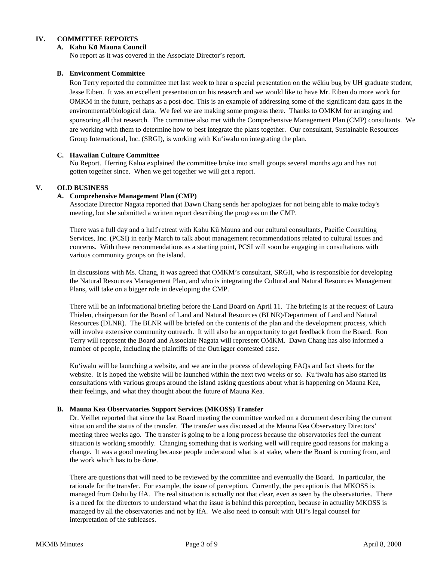## **IV. COMMITTEE REPORTS**

## **A. Kahu Kū Mauna Council**

No report as it was covered in the Associate Director's report.

## **B. Environment Committee**

Ron Terry reported the committee met last week to hear a special presentation on the wēkiu bug by UH graduate student, Jesse Eiben. It was an excellent presentation on his research and we would like to have Mr. Eiben do more work for OMKM in the future, perhaps as a post-doc. This is an example of addressing some of the significant data gaps in the environmental/biological data. We feel we are making some progress there. Thanks to OMKM for arranging and sponsoring all that research. The committee also met with the Comprehensive Management Plan (CMP) consultants. We are working with them to determine how to best integrate the plans together. Our consultant, Sustainable Resources Group International, Inc. (SRGI), is working with Ku'iwalu on integrating the plan.

## **C. Hawaiian Culture Committee**

No Report. Herring Kalua explained the committee broke into small groups several months ago and has not gotten together since. When we get together we will get a report.

## **V. OLD BUSINESS**

## **A. Comprehensive Management Plan (CMP)**

Associate Director Nagata reported that Dawn Chang sends her apologizes for not being able to make today's meeting, but she submitted a written report describing the progress on the CMP.

There was a full day and a half retreat with Kahu Kū Mauna and our cultural consultants, Pacific Consulting Services, Inc. (PCSI) in early March to talk about management recommendations related to cultural issues and concerns. With these recommendations as a starting point, PCSI will soon be engaging in consultations with various community groups on the island.

In discussions with Ms. Chang, it was agreed that OMKM's consultant, SRGII, who is responsible for developing the Natural Resources Management Plan, and who is integrating the Cultural and Natural Resources Management Plans, will take on a bigger role in developing the CMP.

There will be an informational briefing before the Land Board on April 11. The briefing is at the request of Laura Thielen, chairperson for the Board of Land and Natural Resources (BLNR)/Department of Land and Natural Resources (DLNR). The BLNR will be briefed on the contents of the plan and the development process, which will involve extensive community outreach. It will also be an opportunity to get feedback from the Board. Ron Terry will represent the Board and Associate Nagata will represent OMKM. Dawn Chang has also informed a number of people, including the plaintiffs of the Outrigger contested case.

Ku'iwalu will be launching a website, and we are in the process of developing FAQs and fact sheets for the website. It is hoped the website will be launched within the next two weeks or so. Ku'iwalu has also started its consultations with various groups around the island asking questions about what is happening on Mauna Kea, their feelings, and what they thought about the future of Mauna Kea.

## **B. Mauna Kea Observatories Support Services (MKOSS) Transfer**

Dr. Veillet reported that since the last Board meeting the committee worked on a document describing the current situation and the status of the transfer. The transfer was discussed at the Mauna Kea Observatory Directors' meeting three weeks ago. The transfer is going to be a long process because the observatories feel the current situation is working smoothly. Changing something that is working well will require good reasons for making a change. It was a good meeting because people understood what is at stake, where the Board is coming from, and the work which has to be done.

There are questions that will need to be reviewed by the committee and eventually the Board. In particular, the rationale for the transfer. For example, the issue of perception. Currently, the perception is that MKOSS is managed from Oahu by IfA. The real situation is actually not that clear, even as seen by the observatories. There is a need for the directors to understand what the issue is behind this perception, because in actuality MKOSS is managed by all the observatories and not by IfA. We also need to consult with UH's legal counsel for interpretation of the subleases.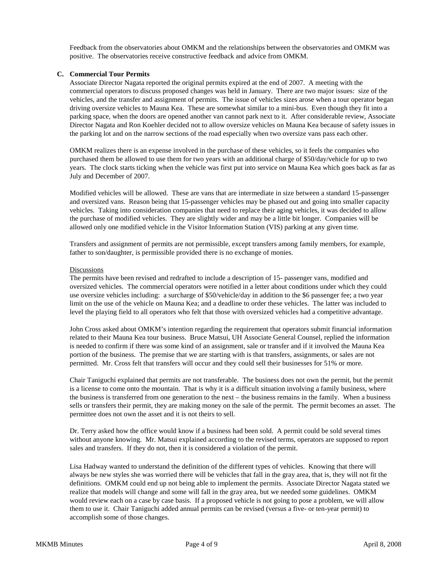Feedback from the observatories about OMKM and the relationships between the observatories and OMKM was positive. The observatories receive constructive feedback and advice from OMKM.

#### **C. Commercial Tour Permits**

Associate Director Nagata reported the original permits expired at the end of 2007. A meeting with the commercial operators to discuss proposed changes was held in January. There are two major issues: size of the vehicles, and the transfer and assignment of permits. The issue of vehicles sizes arose when a tour operator began driving oversize vehicles to Mauna Kea. These are somewhat similar to a mini-bus. Even though they fit into a parking space, when the doors are opened another van cannot park next to it. After considerable review, Associate Director Nagata and Ron Koehler decided not to allow oversize vehicles on Mauna Kea because of safety issues in the parking lot and on the narrow sections of the road especially when two oversize vans pass each other.

OMKM realizes there is an expense involved in the purchase of these vehicles, so it feels the companies who purchased them be allowed to use them for two years with an additional charge of \$50/day/vehicle for up to two years. The clock starts ticking when the vehicle was first put into service on Mauna Kea which goes back as far as July and December of 2007.

Modified vehicles will be allowed. These are vans that are intermediate in size between a standard 15-passenger and oversized vans. Reason being that 15-passenger vehicles may be phased out and going into smaller capacity vehicles. Taking into consideration companies that need to replace their aging vehicles, it was decided to allow the purchase of modified vehicles. They are slightly wider and may be a little bit longer. Companies will be allowed only one modified vehicle in the Visitor Information Station (VIS) parking at any given time.

Transfers and assignment of permits are not permissible, except transfers among family members, for example, father to son/daughter, is permissible provided there is no exchange of monies.

#### Discussions

The permits have been revised and redrafted to include a description of 15- passenger vans, modified and oversized vehicles. The commercial operators were notified in a letter about conditions under which they could use oversize vehicles including: a surcharge of \$50/vehicle/day in addition to the \$6 passenger fee; a two year limit on the use of the vehicle on Mauna Kea; and a deadline to order these vehicles. The latter was included to level the playing field to all operators who felt that those with oversized vehicles had a competitive advantage.

John Cross asked about OMKM's intention regarding the requirement that operators submit financial information related to their Mauna Kea tour business. Bruce Matsui, UH Associate General Counsel, replied the information is needed to confirm if there was some kind of an assignment, sale or transfer and if it involved the Mauna Kea portion of the business. The premise that we are starting with is that transfers, assignments, or sales are not permitted. Mr. Cross felt that transfers will occur and they could sell their businesses for 51% or more.

Chair Taniguchi explained that permits are not transferable. The business does not own the permit, but the permit is a license to come onto the mountain. That is why it is a difficult situation involving a family business, where the business is transferred from one generation to the next – the business remains in the family. When a business sells or transfers their permit, they are making money on the sale of the permit. The permit becomes an asset. The permittee does not own the asset and it is not theirs to sell.

Dr. Terry asked how the office would know if a business had been sold. A permit could be sold several times without anyone knowing. Mr. Matsui explained according to the revised terms, operators are supposed to report sales and transfers. If they do not, then it is considered a violation of the permit.

Lisa Hadway wanted to understand the definition of the different types of vehicles. Knowing that there will always be new styles she was worried there will be vehicles that fall in the gray area, that is, they will not fit the definitions. OMKM could end up not being able to implement the permits. Associate Director Nagata stated we realize that models will change and some will fall in the gray area, but we needed some guidelines. OMKM would review each on a case by case basis. If a proposed vehicle is not going to pose a problem, we will allow them to use it. Chair Taniguchi added annual permits can be revised (versus a five- or ten-year permit) to accomplish some of those changes.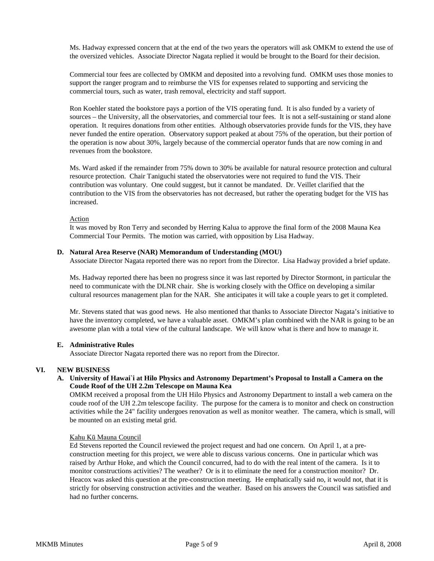Ms. Hadway expressed concern that at the end of the two years the operators will ask OMKM to extend the use of the oversized vehicles. Associate Director Nagata replied it would be brought to the Board for their decision.

Commercial tour fees are collected by OMKM and deposited into a revolving fund. OMKM uses those monies to support the ranger program and to reimburse the VIS for expenses related to supporting and servicing the commercial tours, such as water, trash removal, electricity and staff support.

Ron Koehler stated the bookstore pays a portion of the VIS operating fund. It is also funded by a variety of sources – the University, all the observatories, and commercial tour fees. It is not a self-sustaining or stand alone operation. It requires donations from other entities. Although observatories provide funds for the VIS, they have never funded the entire operation. Observatory support peaked at about 75% of the operation, but their portion of the operation is now about 30%, largely because of the commercial operator funds that are now coming in and revenues from the bookstore.

Ms. Ward asked if the remainder from 75% down to 30% be available for natural resource protection and cultural resource protection. Chair Taniguchi stated the observatories were not required to fund the VIS. Their contribution was voluntary. One could suggest, but it cannot be mandated. Dr. Veillet clarified that the contribution to the VIS from the observatories has not decreased, but rather the operating budget for the VIS has increased.

#### Action

It was moved by Ron Terry and seconded by Herring Kalua to approve the final form of the 2008 Mauna Kea Commercial Tour Permits. The motion was carried, with opposition by Lisa Hadway.

#### **D. Natural Area Reserve (NAR) Memorandum of Understanding (MOU)**

Associate Director Nagata reported there was no report from the Director. Lisa Hadway provided a brief update.

Ms. Hadway reported there has been no progress since it was last reported by Director Stormont, in particular the need to communicate with the DLNR chair. She is working closely with the Office on developing a similar cultural resources management plan for the NAR. She anticipates it will take a couple years to get it completed.

Mr. Stevens stated that was good news. He also mentioned that thanks to Associate Director Nagata's initiative to have the inventory completed, we have a valuable asset. OMKM's plan combined with the NAR is going to be an awesome plan with a total view of the cultural landscape. We will know what is there and how to manage it.

## **E. Administrative Rules**

Associate Director Nagata reported there was no report from the Director.

## **VI. NEW BUSINESS**

**A. University of Hawai`i at Hilo Physics and Astronomy Department's Proposal to Install a Camera on the Coude Roof of the UH 2.2m Telescope on Mauna Kea**

OMKM received a proposal from the UH Hilo Physics and Astronomy Department to install a web camera on the coude roof of the UH 2.2m telescope facility. The purpose for the camera is to monitor and check on construction activities while the 24" facility undergoes renovation as well as monitor weather. The camera, which is small, will be mounted on an existing metal grid.

#### Kahu Kū Mauna Council

Ed Stevens reported the Council reviewed the project request and had one concern. On April 1, at a preconstruction meeting for this project, we were able to discuss various concerns. One in particular which was raised by Arthur Hoke, and which the Council concurred, had to do with the real intent of the camera. Is it to monitor constructions activities? The weather? Or is it to eliminate the need for a construction monitor? Dr. Heacox was asked this question at the pre-construction meeting. He emphatically said no, it would not, that it is strictly for observing construction activities and the weather. Based on his answers the Council was satisfied and had no further concerns.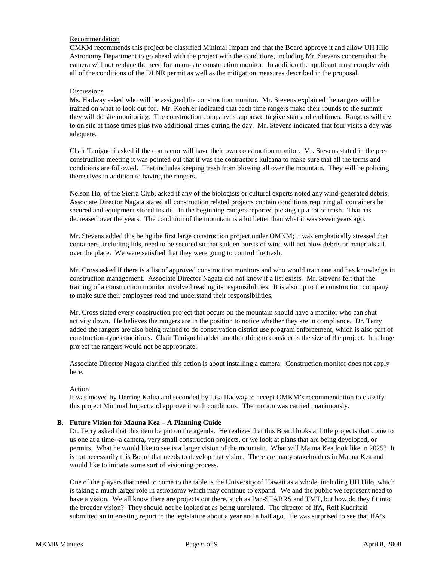## Recommendation

OMKM recommends this project be classified Minimal Impact and that the Board approve it and allow UH Hilo Astronomy Department to go ahead with the project with the conditions, including Mr. Stevens concern that the camera will not replace the need for an on-site construction monitor. In addition the applicant must comply with all of the conditions of the DLNR permit as well as the mitigation measures described in the proposal.

#### Discussions

Ms. Hadway asked who will be assigned the construction monitor. Mr. Stevens explained the rangers will be trained on what to look out for. Mr. Koehler indicated that each time rangers make their rounds to the summit they will do site monitoring. The construction company is supposed to give start and end times. Rangers will try to on site at those times plus two additional times during the day. Mr. Stevens indicated that four visits a day was adequate.

Chair Taniguchi asked if the contractor will have their own construction monitor. Mr. Stevens stated in the preconstruction meeting it was pointed out that it was the contractor's kuleana to make sure that all the terms and conditions are followed. That includes keeping trash from blowing all over the mountain. They will be policing themselves in addition to having the rangers.

Nelson Ho, of the Sierra Club, asked if any of the biologists or cultural experts noted any wind-generated debris. Associate Director Nagata stated all construction related projects contain conditions requiring all containers be secured and equipment stored inside. In the beginning rangers reported picking up a lot of trash. That has decreased over the years. The condition of the mountain is a lot better than what it was seven years ago.

Mr. Stevens added this being the first large construction project under OMKM; it was emphatically stressed that containers, including lids, need to be secured so that sudden bursts of wind will not blow debris or materials all over the place. We were satisfied that they were going to control the trash.

Mr. Cross asked if there is a list of approved construction monitors and who would train one and has knowledge in construction management. Associate Director Nagata did not know if a list exists. Mr. Stevens felt that the training of a construction monitor involved reading its responsibilities. It is also up to the construction company to make sure their employees read and understand their responsibilities.

Mr. Cross stated every construction project that occurs on the mountain should have a monitor who can shut activity down. He believes the rangers are in the position to notice whether they are in compliance. Dr. Terry added the rangers are also being trained to do conservation district use program enforcement, which is also part of construction-type conditions. Chair Taniguchi added another thing to consider is the size of the project. In a huge project the rangers would not be appropriate.

Associate Director Nagata clarified this action is about installing a camera. Construction monitor does not apply here.

#### Action

It was moved by Herring Kalua and seconded by Lisa Hadway to accept OMKM's recommendation to classify this project Minimal Impact and approve it with conditions. The motion was carried unanimously.

## **B. Future Vision for Mauna Kea – A Planning Guide**

Dr. Terry asked that this item be put on the agenda. He realizes that this Board looks at little projects that come to us one at a time--a camera, very small construction projects, or we look at plans that are being developed, or permits. What he would like to see is a larger vision of the mountain. What will Mauna Kea look like in 2025? It is not necessarily this Board that needs to develop that vision. There are many stakeholders in Mauna Kea and would like to initiate some sort of visioning process.

One of the players that need to come to the table is the University of Hawaii as a whole, including UH Hilo, which is taking a much larger role in astronomy which may continue to expand. We and the public we represent need to have a vision. We all know there are projects out there, such as Pan-STARRS and TMT, but how do they fit into the broader vision? They should not be looked at as being unrelated. The director of IfA, Rolf Kudritzki submitted an interesting report to the legislature about a year and a half ago. He was surprised to see that IfA's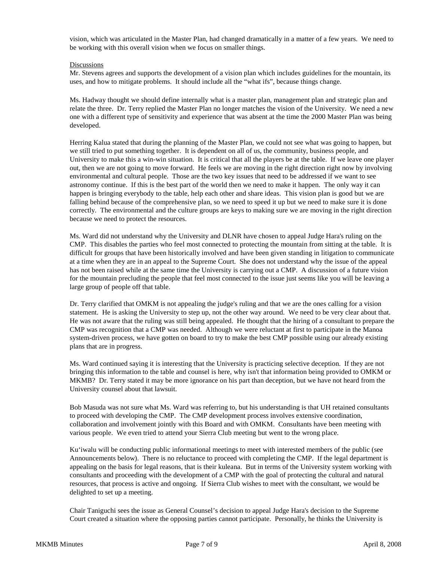vision, which was articulated in the Master Plan, had changed dramatically in a matter of a few years. We need to be working with this overall vision when we focus on smaller things.

#### Discussions

Mr. Stevens agrees and supports the development of a vision plan which includes guidelines for the mountain, its uses, and how to mitigate problems. It should include all the "what ifs", because things change.

Ms. Hadway thought we should define internally what is a master plan, management plan and strategic plan and relate the three. Dr. Terry replied the Master Plan no longer matches the vision of the University. We need a new one with a different type of sensitivity and experience that was absent at the time the 2000 Master Plan was being developed.

Herring Kalua stated that during the planning of the Master Plan, we could not see what was going to happen, but we still tried to put something together. It is dependent on all of us, the community, business people, and University to make this a win-win situation. It is critical that all the players be at the table. If we leave one player out, then we are not going to move forward. He feels we are moving in the right direction right now by involving environmental and cultural people. Those are the two key issues that need to be addressed if we want to see astronomy continue. If this is the best part of the world then we need to make it happen. The only way it can happen is bringing everybody to the table, help each other and share ideas. This vision plan is good but we are falling behind because of the comprehensive plan, so we need to speed it up but we need to make sure it is done correctly. The environmental and the culture groups are keys to making sure we are moving in the right direction because we need to protect the resources.

Ms. Ward did not understand why the University and DLNR have chosen to appeal Judge Hara's ruling on the CMP. This disables the parties who feel most connected to protecting the mountain from sitting at the table. It is difficult for groups that have been historically involved and have been given standing in litigation to communicate at a time when they are in an appeal to the Supreme Court. She does not understand why the issue of the appeal has not been raised while at the same time the University is carrying out a CMP. A discussion of a future vision for the mountain precluding the people that feel most connected to the issue just seems like you will be leaving a large group of people off that table.

Dr. Terry clarified that OMKM is not appealing the judge's ruling and that we are the ones calling for a vision statement. He is asking the University to step up, not the other way around. We need to be very clear about that. He was not aware that the ruling was still being appealed. He thought that the hiring of a consultant to prepare the CMP was recognition that a CMP was needed. Although we were reluctant at first to participate in the Manoa system-driven process, we have gotten on board to try to make the best CMP possible using our already existing plans that are in progress.

Ms. Ward continued saying it is interesting that the University is practicing selective deception. If they are not bringing this information to the table and counsel is here, why isn't that information being provided to OMKM or MKMB? Dr. Terry stated it may be more ignorance on his part than deception, but we have not heard from the University counsel about that lawsuit.

Bob Masuda was not sure what Ms. Ward was referring to, but his understanding is that UH retained consultants to proceed with developing the CMP. The CMP development process involves extensive coordination, collaboration and involvement jointly with this Board and with OMKM. Consultants have been meeting with various people. We even tried to attend your Sierra Club meeting but went to the wrong place.

Ku'iwalu will be conducting public informational meetings to meet with interested members of the public (see Announcements below). There is no reluctance to proceed with completing the CMP. If the legal department is appealing on the basis for legal reasons, that is their kuleana. But in terms of the University system working with consultants and proceeding with the development of a CMP with the goal of protecting the cultural and natural resources, that process is active and ongoing. If Sierra Club wishes to meet with the consultant, we would be delighted to set up a meeting.

Chair Taniguchi sees the issue as General Counsel's decision to appeal Judge Hara's decision to the Supreme Court created a situation where the opposing parties cannot participate. Personally, he thinks the University is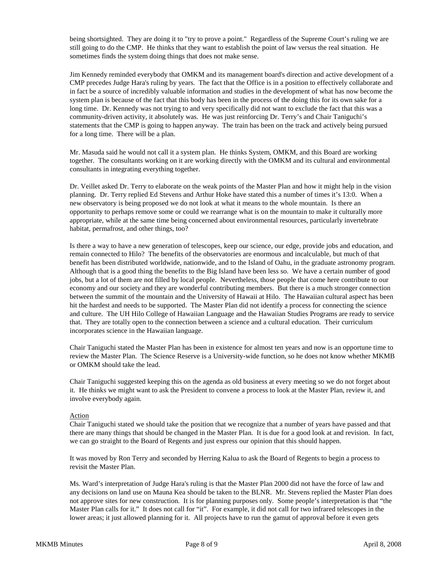being shortsighted. They are doing it to "try to prove a point." Regardless of the Supreme Court's ruling we are still going to do the CMP. He thinks that they want to establish the point of law versus the real situation. He sometimes finds the system doing things that does not make sense.

Jim Kennedy reminded everybody that OMKM and its management board's direction and active development of a CMP precedes Judge Hara's ruling by years. The fact that the Office is in a position to effectively collaborate and in fact be a source of incredibly valuable information and studies in the development of what has now become the system plan is because of the fact that this body has been in the process of the doing this for its own sake for a long time. Dr. Kennedy was not trying to and very specifically did not want to exclude the fact that this was a community-driven activity, it absolutely was. He was just reinforcing Dr. Terry's and Chair Taniguchi's statements that the CMP is going to happen anyway. The train has been on the track and actively being pursued for a long time. There will be a plan.

Mr. Masuda said he would not call it a system plan. He thinks System, OMKM, and this Board are working together. The consultants working on it are working directly with the OMKM and its cultural and environmental consultants in integrating everything together.

Dr. Veillet asked Dr. Terry to elaborate on the weak points of the Master Plan and how it might help in the vision planning. Dr. Terry replied Ed Stevens and Arthur Hoke have stated this a number of times it's 13:0. When a new observatory is being proposed we do not look at what it means to the whole mountain. Is there an opportunity to perhaps remove some or could we rearrange what is on the mountain to make it culturally more appropriate, while at the same time being concerned about environmental resources, particularly invertebrate habitat, permafrost, and other things, too?

Is there a way to have a new generation of telescopes, keep our science, our edge, provide jobs and education, and remain connected to Hilo? The benefits of the observatories are enormous and incalculable, but much of that benefit has been distributed worldwide, nationwide, and to the Island of Oahu, in the graduate astronomy program. Although that is a good thing the benefits to the Big Island have been less so. We have a certain number of good jobs, but a lot of them are not filled by local people. Nevertheless, those people that come here contribute to our economy and our society and they are wonderful contributing members. But there is a much stronger connection between the summit of the mountain and the University of Hawaii at Hilo. The Hawaiian cultural aspect has been hit the hardest and needs to be supported. The Master Plan did not identify a process for connecting the science and culture. The UH Hilo College of Hawaiian Language and the Hawaiian Studies Programs are ready to service that. They are totally open to the connection between a science and a cultural education. Their curriculum incorporates science in the Hawaiian language.

Chair Taniguchi stated the Master Plan has been in existence for almost ten years and now is an opportune time to review the Master Plan. The Science Reserve is a University-wide function, so he does not know whether MKMB or OMKM should take the lead.

Chair Taniguchi suggested keeping this on the agenda as old business at every meeting so we do not forget about it. He thinks we might want to ask the President to convene a process to look at the Master Plan, review it, and involve everybody again.

#### Action

Chair Taniguchi stated we should take the position that we recognize that a number of years have passed and that there are many things that should be changed in the Master Plan. It is due for a good look at and revision. In fact, we can go straight to the Board of Regents and just express our opinion that this should happen.

It was moved by Ron Terry and seconded by Herring Kalua to ask the Board of Regents to begin a process to revisit the Master Plan.

Ms. Ward's interpretation of Judge Hara's ruling is that the Master Plan 2000 did not have the force of law and any decisions on land use on Mauna Kea should be taken to the BLNR. Mr. Stevens replied the Master Plan does not approve sites for new construction. It is for planning purposes only. Some people's interpretation is that "the Master Plan calls for it." It does not call for "it". For example, it did not call for two infrared telescopes in the lower areas; it just allowed planning for it. All projects have to run the gamut of approval before it even gets